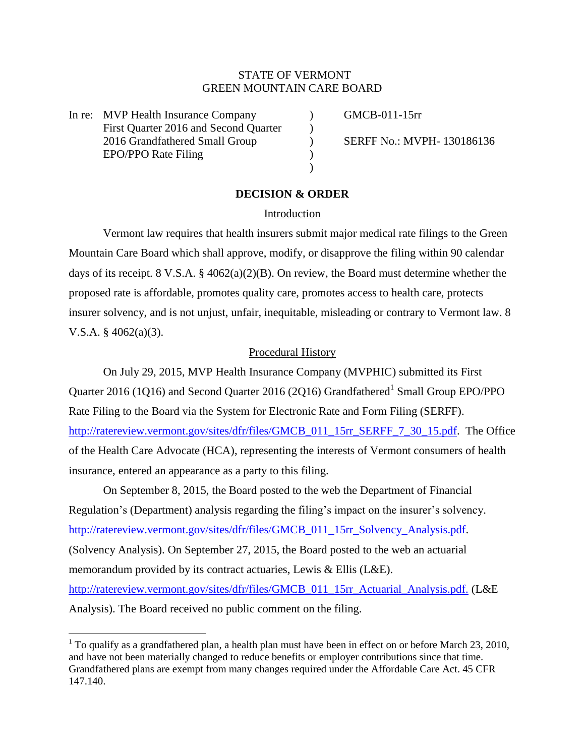# STATE OF VERMONT GREEN MOUNTAIN CARE BOARD

In re: MVP Health Insurance Company (GMCB-011-15rr First Quarter 2016 and Second Quarter (1) 2016 Grandfathered Small Group (SERFF No.: MVPH- 130186136 EPO/PPO Rate Filing (1999)

l

# **DECISION & ORDER**

 $\lambda$ 

## Introduction

Vermont law requires that health insurers submit major medical rate filings to the Green Mountain Care Board which shall approve, modify, or disapprove the filing within 90 calendar days of its receipt. 8 V.S.A. § 4062(a)(2)(B). On review, the Board must determine whether the proposed rate is affordable, promotes quality care, promotes access to health care, protects insurer solvency, and is not unjust, unfair, inequitable, misleading or contrary to Vermont law. 8 V.S.A.  $§$  4062(a)(3).

### Procedural History

On July 29, 2015, MVP Health Insurance Company (MVPHIC) submitted its First Quarter 2016 (1Q16) and Second Quarter 2016 (2Q16) Grandfathered<sup>1</sup> Small Group EPO/PPO Rate Filing to the Board via the System for Electronic Rate and Form Filing (SERFF). [http://ratereview.vermont.gov/sites/dfr/files/GMCB\\_011\\_15rr\\_SERFF\\_7\\_30\\_15.pdf.](http://ratereview.vermont.gov/sites/dfr/files/GMCB_011_15rr_SERFF_7_30_15.pdf) The Office of the Health Care Advocate (HCA), representing the interests of Vermont consumers of health insurance, entered an appearance as a party to this filing.

On September 8, 2015, the Board posted to the web the Department of Financial Regulation's (Department) analysis regarding the filing's impact on the insurer's solvency. [http://ratereview.vermont.gov/sites/dfr/files/GMCB\\_011\\_15rr\\_Solvency\\_Analysis.pdf.](http://ratereview.vermont.gov/sites/dfr/files/GMCB_011_15rr_Solvency_Analysis.pdf) (Solvency Analysis). On September 27, 2015, the Board posted to the web an actuarial memorandum provided by its contract actuaries, Lewis & Ellis (L&E). [http://ratereview.vermont.gov/sites/dfr/files/GMCB\\_011\\_15rr\\_Actuarial\\_Analysis.pdf.](http://ratereview.vermont.gov/sites/dfr/files/GMCB_011_15rr_Actuarial_Analysis.pdf.) (L&E Analysis). The Board received no public comment on the filing.

<sup>&</sup>lt;sup>1</sup> To qualify as a grandfathered plan, a health plan must have been in effect on or before March 23, 2010, and have not been materially changed to reduce benefits or employer contributions since that time. Grandfathered plans are exempt from many changes required under the Affordable Care Act. 45 CFR 147.140.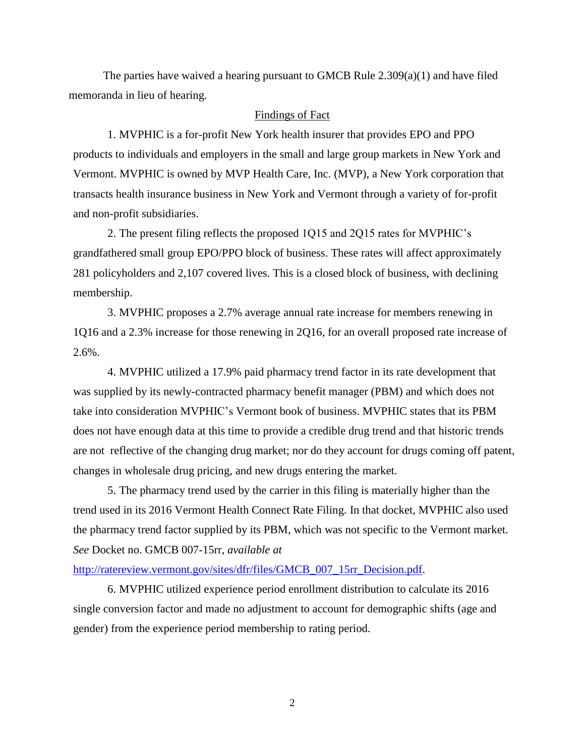The parties have waived a hearing pursuant to GMCB Rule 2.309(a)(1) and have filed memoranda in lieu of hearing.

# Findings of Fact

1. MVPHIC is a for-profit New York health insurer that provides EPO and PPO products to individuals and employers in the small and large group markets in New York and Vermont. MVPHIC is owned by MVP Health Care, Inc. (MVP), a New York corporation that transacts health insurance business in New York and Vermont through a variety of for-profit and non-profit subsidiaries.

2. The present filing reflects the proposed 1Q15 and 2Q15 rates for MVPHIC's grandfathered small group EPO/PPO block of business. These rates will affect approximately 281 policyholders and 2,107 covered lives. This is a closed block of business, with declining membership.

3. MVPHIC proposes a 2.7% average annual rate increase for members renewing in 1Q16 and a 2.3% increase for those renewing in 2Q16, for an overall proposed rate increase of 2.6%.

4. MVPHIC utilized a 17.9% paid pharmacy trend factor in its rate development that was supplied by its newly-contracted pharmacy benefit manager (PBM) and which does not take into consideration MVPHIC's Vermont book of business. MVPHIC states that its PBM does not have enough data at this time to provide a credible drug trend and that historic trends are not reflective of the changing drug market; nor do they account for drugs coming off patent, changes in wholesale drug pricing, and new drugs entering the market.

5. The pharmacy trend used by the carrier in this filing is materially higher than the trend used in its 2016 Vermont Health Connect Rate Filing. In that docket, MVPHIC also used the pharmacy trend factor supplied by its PBM, which was not specific to the Vermont market. *See* Docket no. GMCB 007-15rr, *available at*

#### [http://ratereview.vermont.gov/sites/dfr/files/GMCB\\_007\\_15rr\\_Decision.pdf.](http://ratereview.vermont.gov/sites/dfr/files/GMCB_007_15rr_Decision.pdf)

6. MVPHIC utilized experience period enrollment distribution to calculate its 2016 single conversion factor and made no adjustment to account for demographic shifts (age and gender) from the experience period membership to rating period.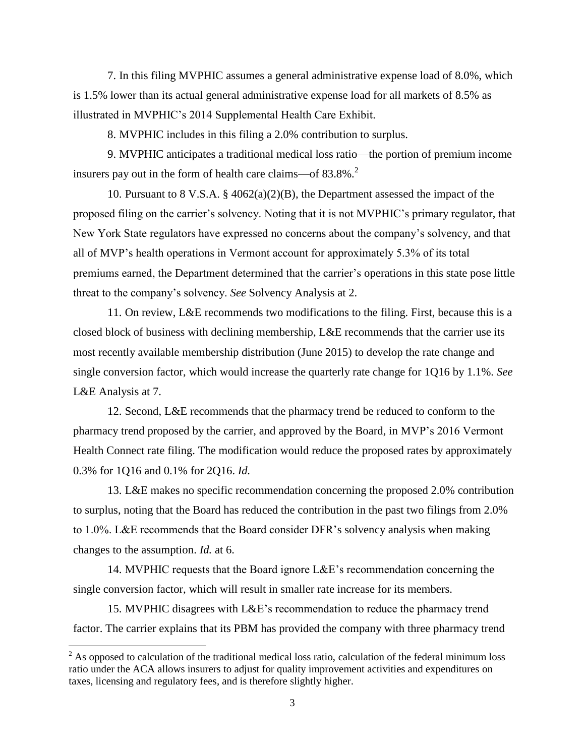7. In this filing MVPHIC assumes a general administrative expense load of 8.0%, which is 1.5% lower than its actual general administrative expense load for all markets of 8.5% as illustrated in MVPHIC's 2014 Supplemental Health Care Exhibit.

8. MVPHIC includes in this filing a 2.0% contribution to surplus.

9. MVPHIC anticipates a traditional medical loss ratio—the portion of premium income insurers pay out in the form of health care claims—of  $83.8\%$ <sup>2</sup>.

10. Pursuant to 8 V.S.A. § 4062(a)(2)(B), the Department assessed the impact of the proposed filing on the carrier's solvency. Noting that it is not MVPHIC's primary regulator, that New York State regulators have expressed no concerns about the company's solvency, and that all of MVP's health operations in Vermont account for approximately 5.3% of its total premiums earned, the Department determined that the carrier's operations in this state pose little threat to the company's solvency. *See* Solvency Analysis at 2.

11. On review, L&E recommends two modifications to the filing. First, because this is a closed block of business with declining membership, L&E recommends that the carrier use its most recently available membership distribution (June 2015) to develop the rate change and single conversion factor, which would increase the quarterly rate change for 1Q16 by 1.1%. *See*  L&E Analysis at 7.

12. Second, L&E recommends that the pharmacy trend be reduced to conform to the pharmacy trend proposed by the carrier, and approved by the Board, in MVP's 2016 Vermont Health Connect rate filing. The modification would reduce the proposed rates by approximately 0.3% for 1Q16 and 0.1% for 2Q16. *Id.*

13. L&E makes no specific recommendation concerning the proposed 2.0% contribution to surplus, noting that the Board has reduced the contribution in the past two filings from 2.0% to 1.0%. L&E recommends that the Board consider DFR's solvency analysis when making changes to the assumption. *Id.* at 6.

14. MVPHIC requests that the Board ignore L&E's recommendation concerning the single conversion factor, which will result in smaller rate increase for its members.

15. MVPHIC disagrees with L&E's recommendation to reduce the pharmacy trend factor. The carrier explains that its PBM has provided the company with three pharmacy trend

 $\overline{a}$ 

 $2^2$  As opposed to calculation of the traditional medical loss ratio, calculation of the federal minimum loss ratio under the ACA allows insurers to adjust for quality improvement activities and expenditures on taxes, licensing and regulatory fees, and is therefore slightly higher.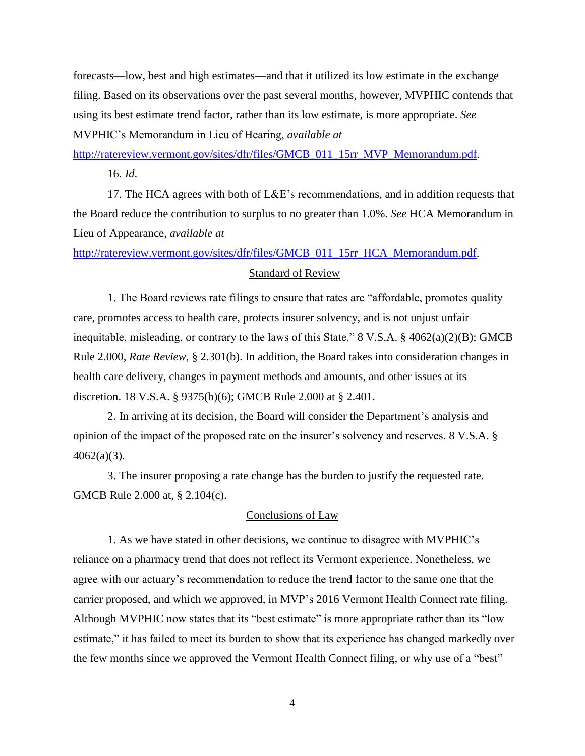forecasts—low, best and high estimates—and that it utilized its low estimate in the exchange filing. Based on its observations over the past several months, however, MVPHIC contends that using its best estimate trend factor, rather than its low estimate, is more appropriate. *See*  MVPHIC's Memorandum in Lieu of Hearing, *available at*

[http://ratereview.vermont.gov/sites/dfr/files/GMCB\\_011\\_15rr\\_MVP\\_Memorandum.pdf.](http://ratereview.vermont.gov/sites/dfr/files/GMCB_011_15rr_MVP_Memorandum.pdf)

16. *Id*.

17. The HCA agrees with both of L&E's recommendations, and in addition requests that the Board reduce the contribution to surplus to no greater than 1.0%. *See* HCA Memorandum in Lieu of Appearance, *available at*

[http://ratereview.vermont.gov/sites/dfr/files/GMCB\\_011\\_15rr\\_HCA\\_Memorandum.pdf.](http://ratereview.vermont.gov/sites/dfr/files/GMCB_011_15rr_HCA_Memorandum.pdf)

## Standard of Review

1. The Board reviews rate filings to ensure that rates are "affordable, promotes quality care, promotes access to health care, protects insurer solvency, and is not unjust unfair inequitable, misleading, or contrary to the laws of this State." 8 V.S.A.  $\S$  4062(a)(2)(B); GMCB Rule 2.000, *Rate Review*, § 2.301(b). In addition, the Board takes into consideration changes in health care delivery, changes in payment methods and amounts, and other issues at its discretion. 18 V.S.A. § 9375(b)(6); GMCB Rule 2.000 at § 2.401.

2. In arriving at its decision, the Board will consider the Department's analysis and opinion of the impact of the proposed rate on the insurer's solvency and reserves. 8 V.S.A. §  $4062(a)(3)$ .

3. The insurer proposing a rate change has the burden to justify the requested rate. GMCB Rule 2.000 at, § 2.104(c).

## Conclusions of Law

1. As we have stated in other decisions, we continue to disagree with MVPHIC's reliance on a pharmacy trend that does not reflect its Vermont experience. Nonetheless, we agree with our actuary's recommendation to reduce the trend factor to the same one that the carrier proposed, and which we approved, in MVP's 2016 Vermont Health Connect rate filing. Although MVPHIC now states that its "best estimate" is more appropriate rather than its "low estimate," it has failed to meet its burden to show that its experience has changed markedly over the few months since we approved the Vermont Health Connect filing, or why use of a "best"

4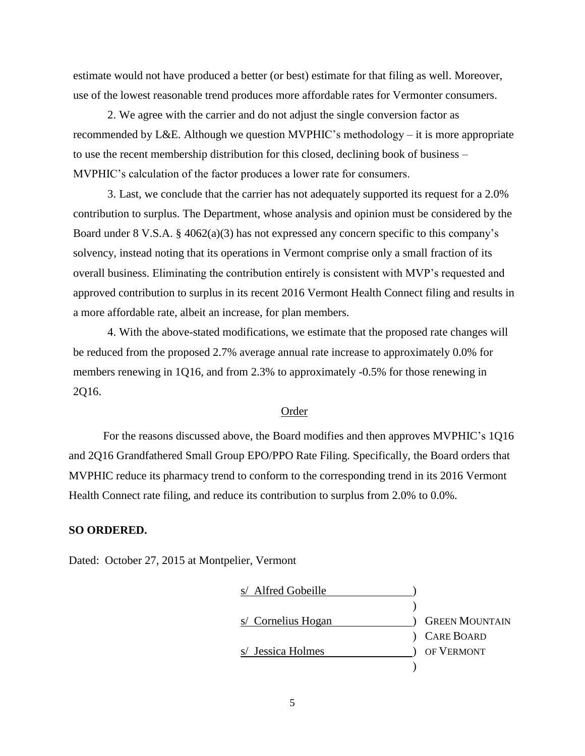estimate would not have produced a better (or best) estimate for that filing as well. Moreover, use of the lowest reasonable trend produces more affordable rates for Vermonter consumers.

2. We agree with the carrier and do not adjust the single conversion factor as recommended by L&E. Although we question MVPHIC's methodology – it is more appropriate to use the recent membership distribution for this closed, declining book of business – MVPHIC's calculation of the factor produces a lower rate for consumers.

3. Last, we conclude that the carrier has not adequately supported its request for a 2.0% contribution to surplus. The Department, whose analysis and opinion must be considered by the Board under 8 V.S.A. § 4062(a)(3) has not expressed any concern specific to this company's solvency, instead noting that its operations in Vermont comprise only a small fraction of its overall business. Eliminating the contribution entirely is consistent with MVP's requested and approved contribution to surplus in its recent 2016 Vermont Health Connect filing and results in a more affordable rate, albeit an increase, for plan members.

4. With the above-stated modifications, we estimate that the proposed rate changes will be reduced from the proposed 2.7% average annual rate increase to approximately 0.0% for members renewing in 1Q16, and from 2.3% to approximately -0.5% for those renewing in 2Q16.

# Order

For the reasons discussed above, the Board modifies and then approves MVPHIC's 1Q16 and 2Q16 Grandfathered Small Group EPO/PPO Rate Filing. Specifically, the Board orders that MVPHIC reduce its pharmacy trend to conform to the corresponding trend in its 2016 Vermont Health Connect rate filing, and reduce its contribution to surplus from 2.0% to 0.0%.

## **SO ORDERED.**

Dated: October 27, 2015 at Montpelier, Vermont

| s/ Alfred Gobeille |                       |
|--------------------|-----------------------|
|                    |                       |
| s/ Cornelius Hogan | <b>GREEN MOUNTAIN</b> |
|                    | <b>CARE BOARD</b>     |
| s/ Jessica Holmes  | OF VERMONT            |
|                    |                       |